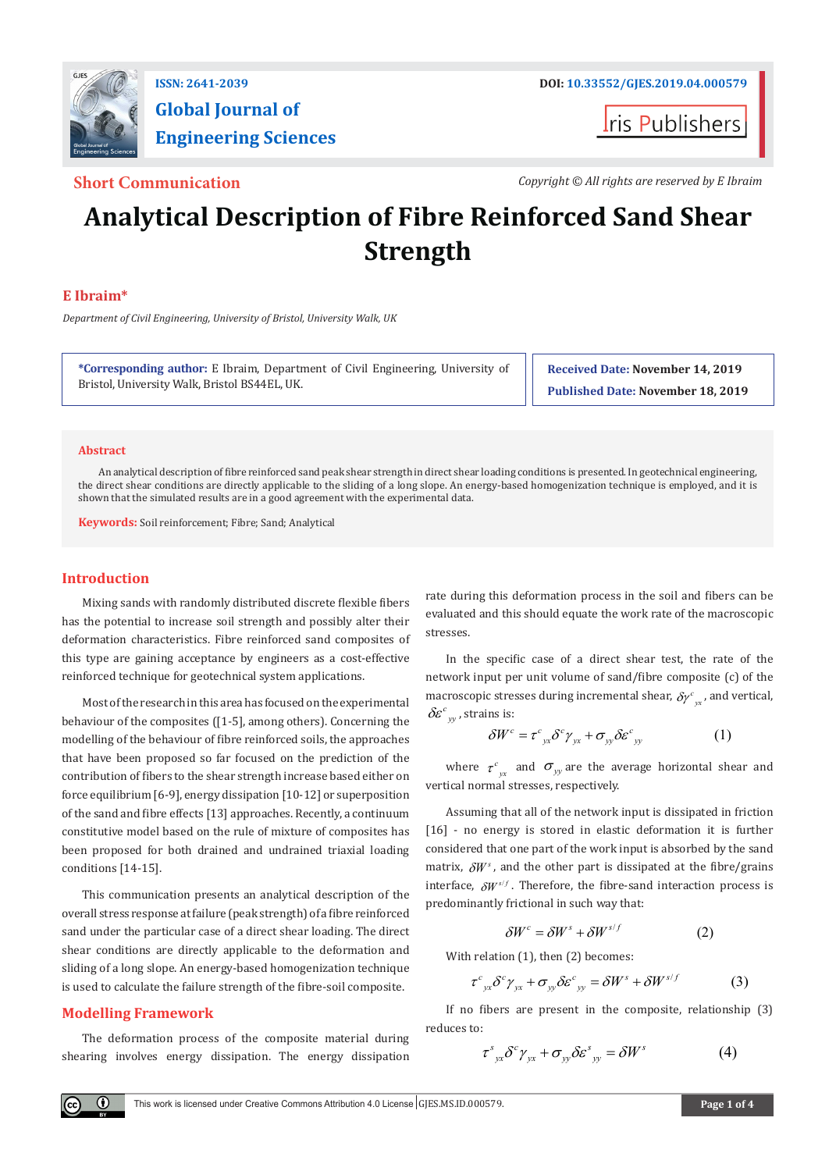

# **Global Journal of Engineering Sciences**

**ris Publishers** 

**Short Communication** *Copyright © All rights are reserved by E Ibraim*

# **Analytical Description of Fibre Reinforced Sand Shear Strength**

# **E Ibraim\***

*Department of Civil Engineering, University of Bristol, University Walk, UK*

**\*Corresponding author:** E Ibraim, Department of Civil Engineering, University of Bristol, University Walk, Bristol BS44EL, UK.

**Received Date: November 14, 2019 Published Date: November 18, 2019**

#### **Abstract**

An analytical description of fibre reinforced sand peak shear strength in direct shear loading conditions is presented. In geotechnical engineering, the direct shear conditions are directly applicable to the sliding of a long slope. An energy-based homogenization technique is employed, and it is shown that the simulated results are in a good agreement with the experimental data.

**Keywords:** Soil reinforcement; Fibre; Sand; Analytical

### **Introduction**

Mixing sands with randomly distributed discrete flexible fibers has the potential to increase soil strength and possibly alter their deformation characteristics. Fibre reinforced sand composites of this type are gaining acceptance by engineers as a cost-effective reinforced technique for geotechnical system applications.

Most of the research in this area has focused on the experimental behaviour of the composites ([1-5], among others). Concerning the modelling of the behaviour of fibre reinforced soils, the approaches that have been proposed so far focused on the prediction of the contribution of fibers to the shear strength increase based either on force equilibrium [6-9], energy dissipation [10-12] or superposition of the sand and fibre effects [13] approaches. Recently, a continuum constitutive model based on the rule of mixture of composites has been proposed for both drained and undrained triaxial loading conditions [14-15].

This communication presents an analytical description of the overall stress response at failure (peak strength) of a fibre reinforced sand under the particular case of a direct shear loading. The direct shear conditions are directly applicable to the deformation and sliding of a long slope. An energy-based homogenization technique is used to calculate the failure strength of the fibre-soil composite.

# **Modelling Framework**

 $\left( \mathbf{r} \right)$ 

The deformation process of the composite material during shearing involves energy dissipation. The energy dissipation

rate during this deformation process in the soil and fibers can be evaluated and this should equate the work rate of the macroscopic stresses.

In the specific case of a direct shear test, the rate of the network input per unit volume of sand/fibre composite (c) of the macroscopic stresses during incremental shear,  $\delta \gamma^c_{yx}$ , and vertical,  $\delta c^c$  atrains is:  $\delta \varepsilon_{v}^{c}$ , strains is:

$$
\delta W^{c} = \tau^{c}{}_{yx} \delta^{c} \gamma_{yx} + \sigma_{yy} \delta \varepsilon^{c}{}_{yy}
$$
 (1)

where  $\tau_{yx}^c$  and  $\sigma_{yy}$  are the average horizontal shear and vertical normal stresses, respectively.

Assuming that all of the network input is dissipated in friction [16] - no energy is stored in elastic deformation it is further considered that one part of the work input is absorbed by the sand matrix,  $\delta W^s$ , and the other part is dissipated at the fibre/grains interface,  $\delta W^{s/f}$ . Therefore, the fibre-sand interaction process is predominantly frictional in such way that:

$$
\delta W^c = \delta W^s + \delta W^{s/f} \tag{2}
$$

With relation (1), then (2) becomes:

$$
\tau^{c}{}_{yx}\delta^{c}\gamma_{yx}+\sigma_{yy}\delta\varepsilon^{c}{}_{yy}=\delta W^{s}+\delta W^{s/f}\qquad\qquad(3)
$$

If no fibers are present in the composite, relationship (3) reduces to:

$$
\tau_{yx}^s \delta^c \gamma_{yx} + \sigma_{yy} \delta \varepsilon_{yy}^s = \delta W^s \tag{4}
$$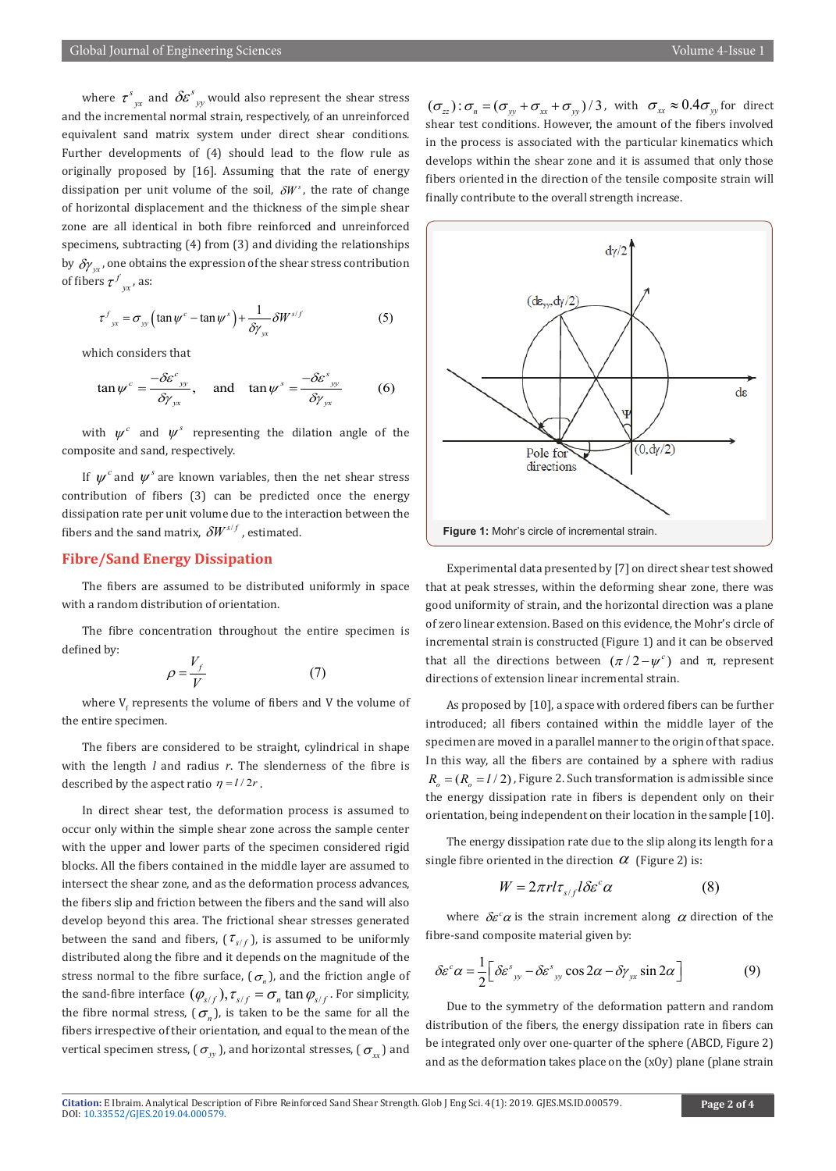where  $\tau^s_{yx}$  and  $\delta \! {\boldsymbol{\mathcal{E}}}^s_{yy}$  would also represent the shear stress and the incremental normal strain, respectively, of an unreinforced equivalent sand matrix system under direct shear conditions. Further developments of (4) should lead to the flow rule as originally proposed by [16]. Assuming that the rate of energy dissipation per unit volume of the soil,  $\delta W^s$ , the rate of change of horizontal displacement and the thickness of the simple shear zone are all identical in both fibre reinforced and unreinforced specimens, subtracting (4) from (3) and dividing the relationships by  $\delta y_{xx}$ , one obtains the expression of the shear stress contribution of fibers  $\tau^f_{yx}$ , as:

$$
\tau_{yx}^f = \sigma_{yy} \left( \tan \psi^c - \tan \psi^s \right) + \frac{1}{\delta \gamma_{yx}} \delta W^{s/f}
$$
 (5)

which considers that

$$
\tan \psi^c = \frac{-\delta \varepsilon^c_{yy}}{\delta \gamma_{yx}}, \quad \text{and} \quad \tan \psi^s = \frac{-\delta \varepsilon^s_{yy}}{\delta \gamma_{yx}} \tag{6}
$$

with  $\psi^c$  and  $\psi^s$  representing the dilation angle of the composite and sand, respectively.

If  $\psi^c$  and  $\psi^s$  are known variables, then the net shear stress contribution of fibers (3) can be predicted once the energy dissipation rate per unit volume due to the interaction between the fibers and the sand matrix,  $\delta W^{s/f}$ , estimated.

# **Fibre/Sand Energy Dissipation**

The fibers are assumed to be distributed uniformly in space with a random distribution of orientation.

The fibre concentration throughout the entire specimen is defined by:

$$
\rho = \frac{V_f}{V} \tag{7}
$$

where  $\bm{{\mathsf{V}}}_\text{f}$  represents the volume of fibers and V the volume of the entire specimen.

The fibers are considered to be straight, cylindrical in shape with the length *l* and radius *r*. The slenderness of the fibre is described by the aspect ratio  $\eta = l/2r$ .

In direct shear test, the deformation process is assumed to occur only within the simple shear zone across the sample center with the upper and lower parts of the specimen considered rigid blocks. All the fibers contained in the middle layer are assumed to intersect the shear zone, and as the deformation process advances, the fibers slip and friction between the fibers and the sand will also develop beyond this area. The frictional shear stresses generated between the sand and fibers,  $(\tau_{s/f})$ , is assumed to be uniformly distributed along the fibre and it depends on the magnitude of the stress normal to the fibre surface,  $(\sigma_n)$ , and the friction angle of the sand-fibre interface  $(\varphi_{s/f})$ ,  $\tau_{s/f} = \sigma_n \tan \varphi_{s/f}$ . For simplicity, the fibre normal stress,  $(\sigma_n)$ , is taken to be the same for all the fibers irrespective of their orientation, and equal to the mean of the vertical specimen stress, ( $\sigma_w$ ), and horizontal stresses, ( $\sigma_w$ ) and

 $({\sigma}_{zz})$ :  ${\sigma}_{\eta} = ({\sigma}_{yy} + {\sigma}_{xx} + {\sigma}_{yy})/3$ , with  ${\sigma}_{xx} \approx 0.4 {\sigma}_{yy}$  for direct shear test conditions. However, the amount of the fibers involved in the process is associated with the particular kinematics which develops within the shear zone and it is assumed that only those fibers oriented in the direction of the tensile composite strain will finally contribute to the overall strength increase.



Experimental data presented by [7] on direct shear test showed that at peak stresses, within the deforming shear zone, there was good uniformity of strain, and the horizontal direction was a plane of zero linear extension. Based on this evidence, the Mohr's circle of incremental strain is constructed (Figure 1) and it can be observed that all the directions between  $(π/2 - ψ<sup>c</sup>)$  and π, represent directions of extension linear incremental strain.

As proposed by [10], a space with ordered fibers can be further introduced; all fibers contained within the middle layer of the specimen are moved in a parallel manner to the origin of that space. In this way, all the fibers are contained by a sphere with radius  $R<sub>s</sub> = (R<sub>s</sub> = l/2)$ , Figure 2. Such transformation is admissible since the energy dissipation rate in fibers is dependent only on their orientation, being independent on their location in the sample [10].

The energy dissipation rate due to the slip along its length for a single fibre oriented in the direction  $\alpha$  (Figure 2) is:

$$
W = 2\pi r l \tau_{s/f} l \delta \varepsilon^c \alpha \tag{8}
$$

where  $\delta \varepsilon^c \alpha$  is the strain increment along  $\alpha$  direction of the fibre-sand composite material given by:

$$
\delta \varepsilon^c \alpha = \frac{1}{2} \Big[ \delta \varepsilon^s_{yy} - \delta \varepsilon^s_{yy} \cos 2\alpha - \delta \gamma_{yx} \sin 2\alpha \Big] \tag{9}
$$

Due to the symmetry of the deformation pattern and random distribution of the fibers, the energy dissipation rate in fibers can be integrated only over one-quarter of the sphere (ABCD, Figure 2) and as the deformation takes place on the (xOy) plane (plane strain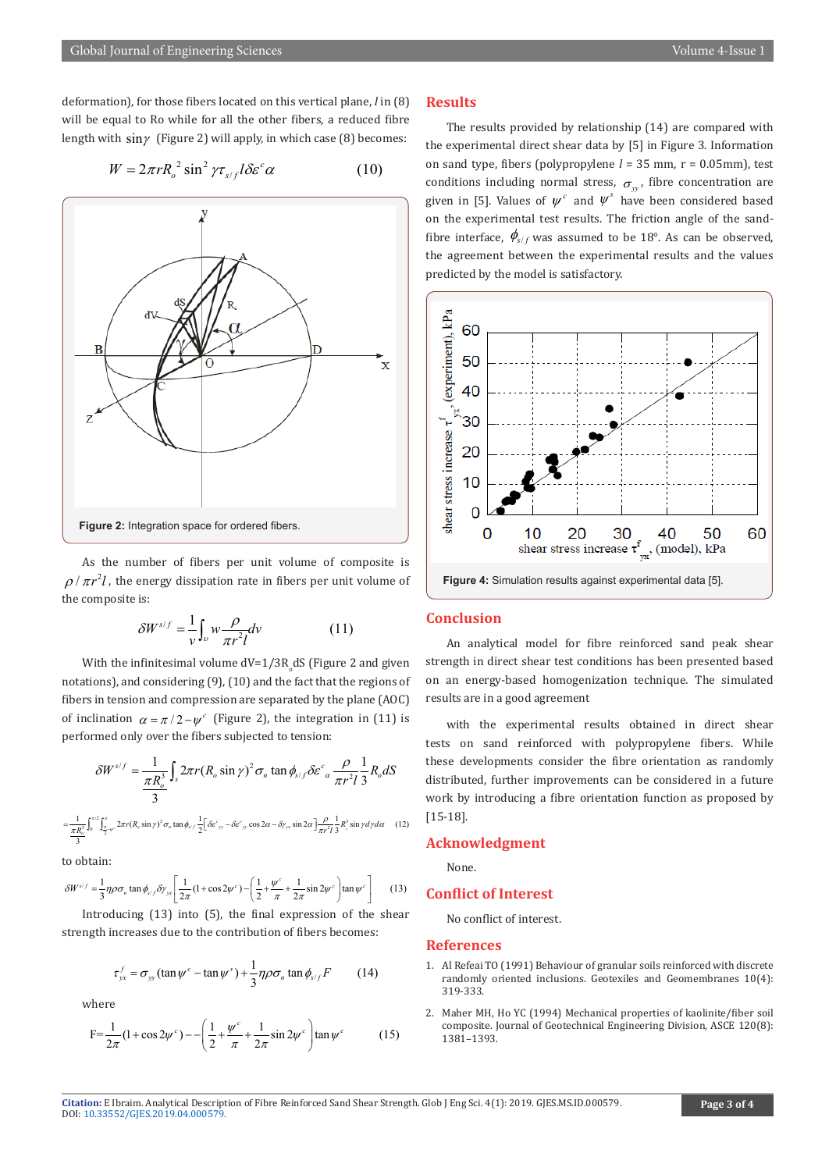deformation), for those fibers located on this vertical plane, *l* in (8) will be equal to Ro while for all the other fibers, a reduced fibre length with  $\sin\gamma$  (Figure 2) will apply, in which case (8) becomes:

$$
W = 2\pi r R_o^2 \sin^2 \gamma \tau_{s/f} l \delta \varepsilon^c \alpha \tag{10}
$$



As the number of fibers per unit volume of composite is  $\rho/\pi r^2 l$ , the energy dissipation rate in fibers per unit volume of the composite is:

$$
\delta W^{s/f} = \frac{1}{\nu} \int_{\nu} w \frac{\rho}{\pi r^2 l} dv \tag{11}
$$

With the infinitesimal volume  $dV = 1/3R_o dS$  (Figure 2 and given notations), and considering (9), (10) and the fact that the regions of fibers in tension and compression are separated by the plane (AOC) of inclination  $\alpha = \pi / 2 - \psi^c$  (Figure 2), the integration in (11) is performed only over the fibers subjected to tension:

$$
\delta W^{s/f} = \frac{1}{\frac{\pi R_o^3}{3}} \int_s 2\pi r (R_o \sin \gamma)^2 \sigma_n \tan \phi_{s/f} \delta \varepsilon^c_{\alpha} \frac{\rho}{\pi r^2 l} \frac{1}{3} R_o dS
$$

$$
=\frac{1}{\pi R_o^3} \int_0^{\pi/2} \int_{\frac{\pi}{2}v^c}^{\pi} 2\pi r (R_o \sin \gamma)^2 \sigma_n \tan \phi_{s/f} \frac{1}{2} \left[ \delta \varepsilon^c_{y} - \delta \varepsilon^c_{y} \cos 2\alpha - \delta \gamma_{yx} \sin 2\alpha \right] \frac{\rho}{\pi r^2 I} \frac{1}{3} R_s^3 \sin \gamma \, dy \, d\alpha \tag{12}
$$

to obtain:

$$
\delta W^{s/f} = \frac{1}{3} \eta \rho \sigma_n \tan \phi_{s/f} \delta \gamma_{yx} \left[ \frac{1}{2\pi} (1 + \cos 2\psi^c) - \left( \frac{1}{2} + \frac{\psi^c}{\pi} + \frac{1}{2\pi} \sin 2\psi^c \right) \tan \psi^c \right] \tag{13}
$$

Introducing (13) into (5), the final expression of the shear strength increases due to the contribution of fibers becomes:

$$
\tau_{yx}^f = \sigma_{yy} (\tan \psi^c - \tan \psi^s) + \frac{1}{3} \eta \rho \sigma_n \tan \phi_{s/f} F \qquad (14)
$$

where

$$
F = \frac{1}{2\pi} (1 + \cos 2\psi^c) - \left( \frac{1}{2} + \frac{\psi^c}{\pi} + \frac{1}{2\pi} \sin 2\psi^c \right) \tan \psi^c
$$
 (15)

#### **Results**

The results provided by relationship (14) are compared with the experimental direct shear data by [5] in Figure 3. Information on sand type, fibers (polypropylene *l* = 35 mm, r = 0.05mm), test conditions including normal stress,  $\sigma_w$ , fibre concentration are given in [5]. Values of  $\psi^c$  and  $\psi^s$  have been considered based on the experimental test results. The friction angle of the sandfibre interface,  $\phi_{s/f}$  was assumed to be 18°. As can be observed, the agreement between the experimental results and the values predicted by the model is satisfactory.



### **Conclusion**

An analytical model for fibre reinforced sand peak shear strength in direct shear test conditions has been presented based on an energy-based homogenization technique. The simulated results are in a good agreement

with the experimental results obtained in direct shear tests on sand reinforced with polypropylene fibers. While these developments consider the fibre orientation as randomly distributed, further improvements can be considered in a future work by introducing a fibre orientation function as proposed by [15-18].

## **Acknowledgment**

None.

## **Conflict of Interest**

No conflict of interest.

#### **References**

- 1. [Al Refeai TO \(1991\) Behaviour of granular soils reinforced with discrete](https://www.sciencedirect.com/science/article/abs/pii/026611449190009L) [randomly oriented inclusions. Geotexiles and Geomembranes 10\(4\):](https://www.sciencedirect.com/science/article/abs/pii/026611449190009L) [319-333.](https://www.sciencedirect.com/science/article/abs/pii/026611449190009L)
- 2. [Maher MH, Ho YC \(1994\) Mechanical properties of kaolinite/fiber soil](https://ascelibrary.org/doi/abs/10.1061/%28ASCE%290733-9410%281994%29120%3A8%281381%29) [composite. Journal of Geotechnical Engineering Division, ASCE 120\(8\):](https://ascelibrary.org/doi/abs/10.1061/%28ASCE%290733-9410%281994%29120%3A8%281381%29) [1381–1393.](https://ascelibrary.org/doi/abs/10.1061/%28ASCE%290733-9410%281994%29120%3A8%281381%29)